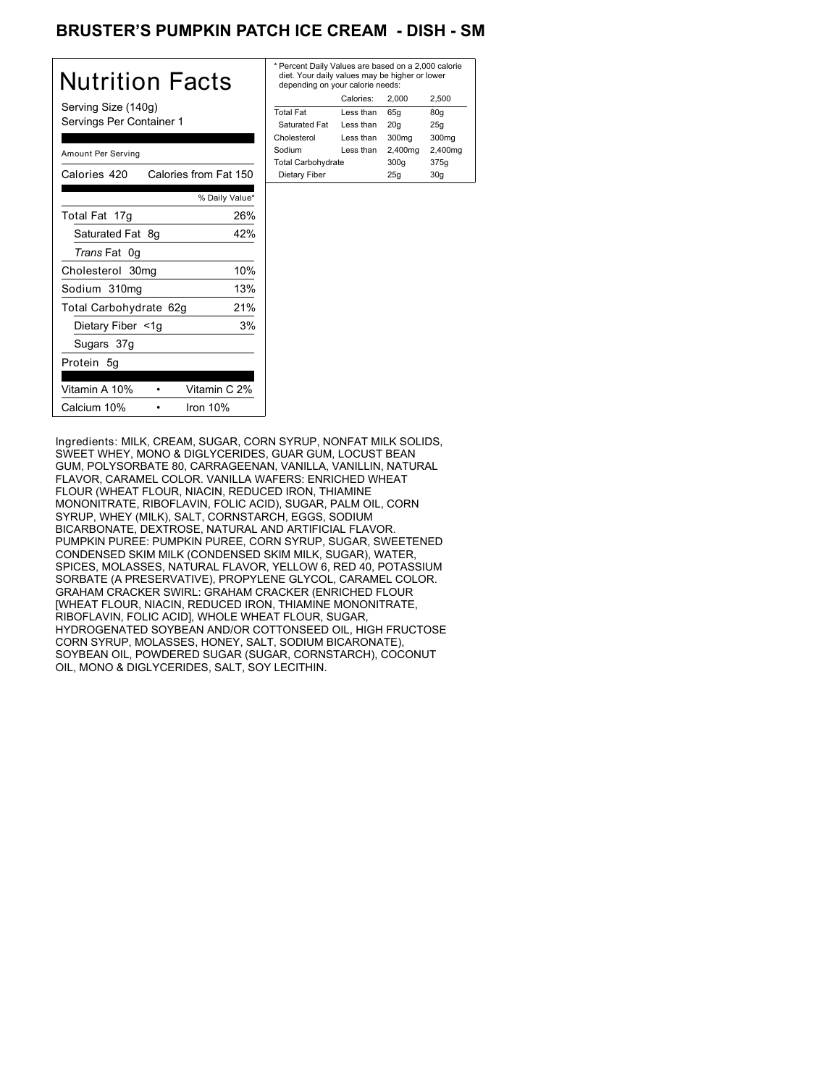### BRUSTER'S PUMPKIN PATCH ICE CREAM - DISH - SM

| Nutrition Facts                                 | * Perce<br>diet. Y<br>depen   |
|-------------------------------------------------|-------------------------------|
| Serving Size (140g)<br>Servings Per Container 1 | Total Fa<br>Satura            |
| Amount Per Serving                              | Cholest<br>Sodium<br>Total Ca |
| Calories from Fat 150<br>Calories 420           | Dietar                        |
| % Daily Value*                                  |                               |
| 26%<br>Total Fat 17g                            |                               |
| Saturated Fat 8g<br>42%                         |                               |
| Trans Fat 0g                                    |                               |
| 10%<br>Cholesterol 30mg                         |                               |
| 13%<br>Sodium 310mg                             |                               |
| 21%<br>Total Carbohydrate 62g                   |                               |
| 3%<br>Dietary Fiber <1g                         |                               |
| Sugars 37g                                      |                               |
| Protein 5g                                      |                               |
| Vitamin C 2%<br>Vitamin A 10%                   |                               |
| Calcium 10%<br>Iron $10%$                       |                               |

| * Percent Daily Values are based on a 2,000 calorie<br>diet. Your daily values may be higher or lower<br>depending on your calorie needs: |                   |         |  |
|-------------------------------------------------------------------------------------------------------------------------------------------|-------------------|---------|--|
| Calories:                                                                                                                                 | 2.000             | 2.500   |  |
| Less than                                                                                                                                 | 65q               | 80q     |  |
| Less than                                                                                                                                 | 20q               | 25q     |  |
| Less than                                                                                                                                 | 300 <sub>mg</sub> | 300mg   |  |
| Less than                                                                                                                                 | 2,400mg           | 2,400mg |  |
| <b>Total Carbohydrate</b>                                                                                                                 |                   | 375g    |  |
|                                                                                                                                           | 25q               | 30q     |  |
|                                                                                                                                           |                   | 300q    |  |

Ingredients: MILK, CREAM, SUGAR, CORN SYRUP, NONFAT MILK SOLIDS, SWEET WHEY, MONO & DIGLYCERIDES, GUAR GUM, LOCUST BEAN GUM, POLYSORBATE 80, CARRAGEENAN, VANILLA, VANILLIN, NATURAL FLAVOR, CARAMEL COLOR. VANILLA WAFERS: ENRICHED WHEAT FLOUR (WHEAT FLOUR, NIACIN, REDUCED IRON, THIAMINE MONONITRATE, RIBOFLAVIN, FOLIC ACID), SUGAR, PALM OIL, CORN SYRUP, WHEY (MILK), SALT, CORNSTARCH, EGGS, SODIUM BICARBONATE, DEXTROSE, NATURAL AND ARTIFICIAL FLAVOR. PUMPKIN PUREE: PUMPKIN PUREE, CORN SYRUP, SUGAR, SWEETENED CONDENSED SKIM MILK (CONDENSED SKIM MILK, SUGAR), WATER, SPICES, MOLASSES, NATURAL FLAVOR, YELLOW 6, RED 40, POTASSIUM SORBATE (A PRESERVATIVE), PROPYLENE GLYCOL, CARAMEL COLOR. GRAHAM CRACKER SWIRL: GRAHAM CRACKER (ENRICHED FLOUR [WHEAT FLOUR, NIACIN, REDUCED IRON, THIAMINE MONONITRATE, RIBOFLAVIN, FOLIC ACID], WHOLE WHEAT FLOUR, SUGAR, HYDROGENATED SOYBEAN AND/OR COTTONSEED OIL, HIGH FRUCTOSE CORN SYRUP, MOLASSES, HONEY, SALT, SODIUM BICARONATE), SOYBEAN OIL, POWDERED SUGAR (SUGAR, CORNSTARCH), COCONUT OIL, MONO & DIGLYCERIDES, SALT, SOY LECITHIN.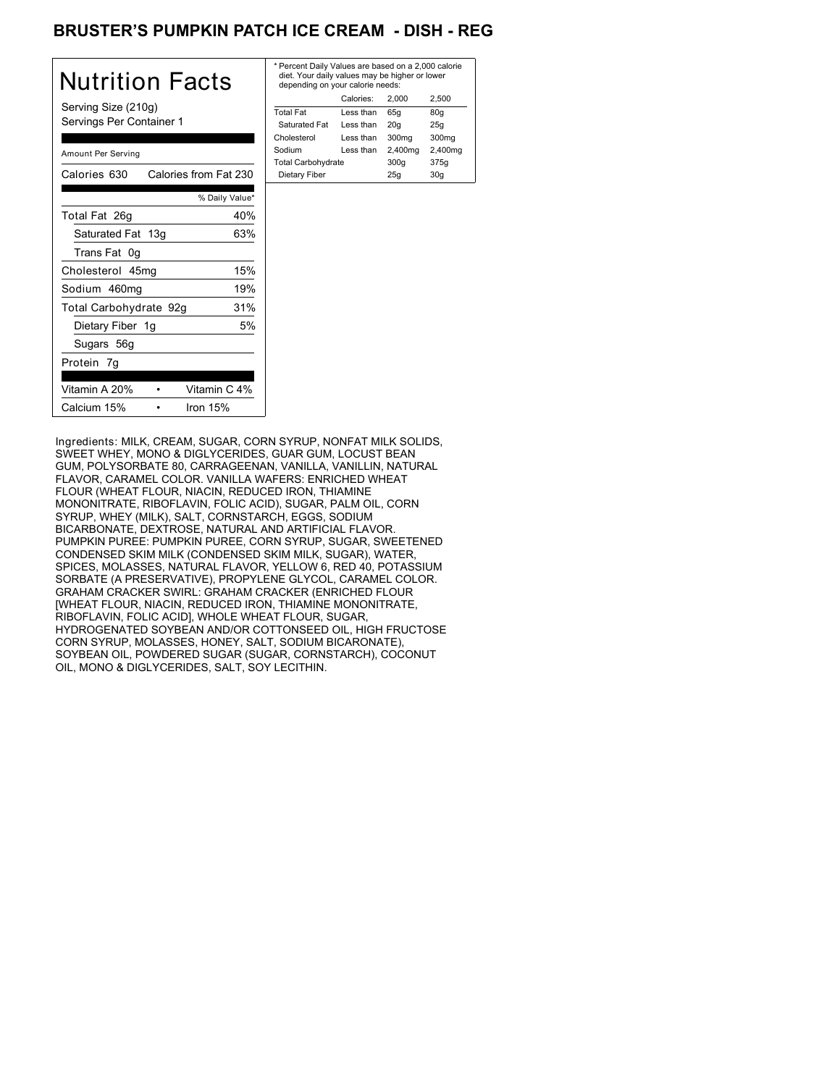# BRUSTER'S PUMPKIN PATCH ICE CREAM - DISH - REG

| Nutrition Facts                                 | * Percer<br>diet. Yo<br>depen          |
|-------------------------------------------------|----------------------------------------|
| Serving Size (210g)<br>Servings Per Container 1 | <b>Total Fa</b><br>Saturat<br>Choleste |
| Amount Per Serving                              | Sodium<br><b>Total Ca</b>              |
| Calories from Fat 230<br>Calories 630           | Dietary                                |
| % Daily Value*                                  |                                        |
| 40%<br>Total Fat 26g                            |                                        |
| Saturated Fat 13g<br>63%                        |                                        |
| Trans Fat 0g                                    |                                        |
| 15%<br>Cholesterol 45mg                         |                                        |
| 19%<br>Sodium 460mg                             |                                        |
| 31%<br>Total Carbohydrate 92g                   |                                        |
| 5%<br>Dietary Fiber 1g                          |                                        |
| Sugars 56g                                      |                                        |
| Protein 7g                                      |                                        |
| Vitamin A 20%<br>Vitamin C 4%                   |                                        |
| Calcium 15%<br>Iron $15%$                       |                                        |

| * Percent Daily Values are based on a 2,000 calorie<br>diet. Your daily values may be higher or lower<br>depending on your calorie needs: |           |         |         |
|-------------------------------------------------------------------------------------------------------------------------------------------|-----------|---------|---------|
|                                                                                                                                           | Calories: | 2.000   | 2,500   |
| <b>Total Fat</b>                                                                                                                          | Less than | 65q     | 80q     |
| Saturated Fat                                                                                                                             | Less than | 20q     | 25q     |
| Cholesterol                                                                                                                               | Less than | 300mg   | 300mg   |
| Sodium                                                                                                                                    | Less than | 2,400mg | 2,400mg |
| <b>Total Carbohydrate</b>                                                                                                                 |           | 300q    | 375g    |
| Dietary Fiber                                                                                                                             |           | 25q     | 30q     |

Ingredients: MILK, CREAM, SUGAR, CORN SYRUP, NONFAT MILK SOLIDS, SWEET WHEY, MONO & DIGLYCERIDES, GUAR GUM, LOCUST BEAN GUM, POLYSORBATE 80, CARRAGEENAN, VANILLA, VANILLIN, NATURAL FLAVOR, CARAMEL COLOR. VANILLA WAFERS: ENRICHED WHEAT FLOUR (WHEAT FLOUR, NIACIN, REDUCED IRON, THIAMINE MONONITRATE, RIBOFLAVIN, FOLIC ACID), SUGAR, PALM OIL, CORN SYRUP, WHEY (MILK), SALT, CORNSTARCH, EGGS, SODIUM BICARBONATE, DEXTROSE, NATURAL AND ARTIFICIAL FLAVOR. PUMPKIN PUREE: PUMPKIN PUREE, CORN SYRUP, SUGAR, SWEETENED CONDENSED SKIM MILK (CONDENSED SKIM MILK, SUGAR), WATER, SPICES, MOLASSES, NATURAL FLAVOR, YELLOW 6, RED 40, POTASSIUM SORBATE (A PRESERVATIVE), PROPYLENE GLYCOL, CARAMEL COLOR. GRAHAM CRACKER SWIRL: GRAHAM CRACKER (ENRICHED FLOUR [WHEAT FLOUR, NIACIN, REDUCED IRON, THIAMINE MONONITRATE, RIBOFLAVIN, FOLIC ACID], WHOLE WHEAT FLOUR, SUGAR, HYDROGENATED SOYBEAN AND/OR COTTONSEED OIL, HIGH FRUCTOSE CORN SYRUP, MOLASSES, HONEY, SALT, SODIUM BICARONATE), SOYBEAN OIL, POWDERED SUGAR (SUGAR, CORNSTARCH), COCONUT OIL, MONO & DIGLYCERIDES, SALT, SOY LECITHIN.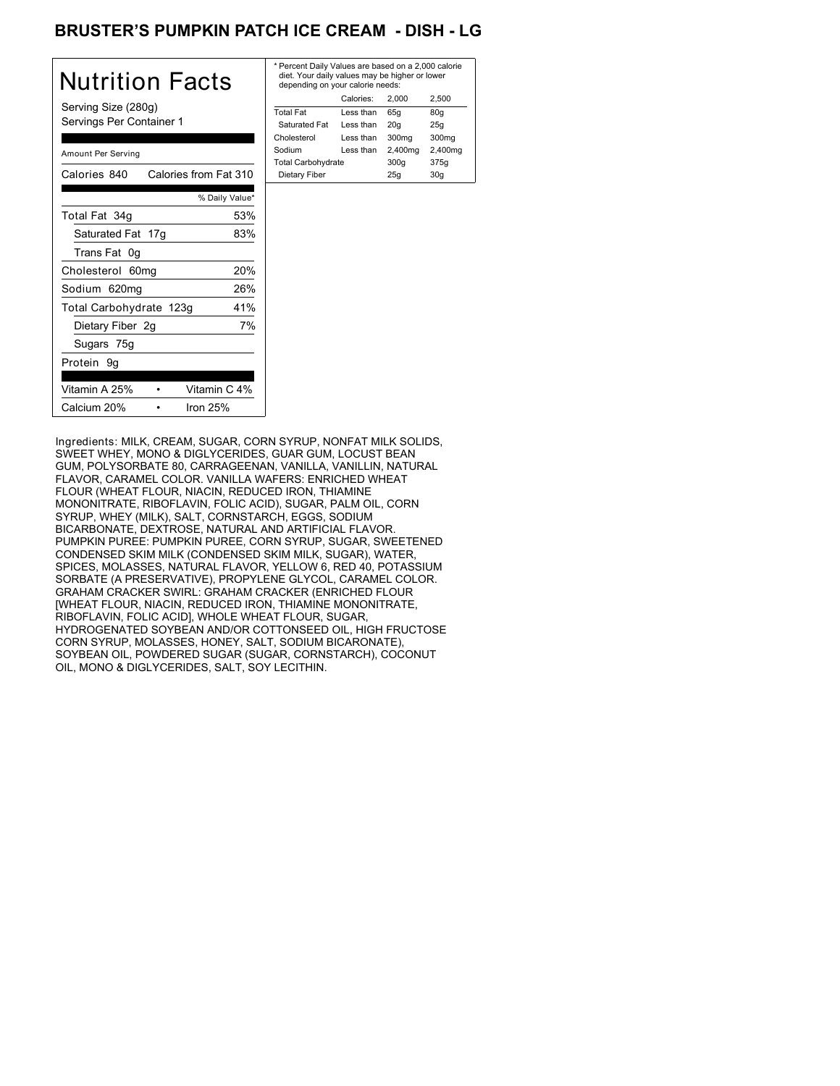# BRUSTER'S PUMPKIN PATCH ICE CREAM - DISH - LG

| Nutrition Facts                                 | * Perce<br>diet. Y<br>depen   |
|-------------------------------------------------|-------------------------------|
| Serving Size (280g)<br>Servings Per Container 1 | Total Fa<br>Satura<br>Cholest |
| Amount Per Serving                              | Sodium<br>Total C             |
| Calories from Fat 310<br>Calories 840           | Dietar                        |
| % Daily Value*                                  |                               |
| Total Fat 34g<br>53%                            |                               |
| 83%<br>Saturated Fat 17g                        |                               |
| Trans Fat 0g                                    |                               |
| 20%<br>Cholesterol 60mg                         |                               |
| 26%<br>Sodium 620mg                             |                               |
| 41%<br>Total Carbohydrate 123g                  |                               |
| 7%<br>Dietary Fiber 2g                          |                               |
| Sugars 75g                                      |                               |
| Protein 9q                                      |                               |
| Vitamin C 4%<br>Vitamin A 25%                   |                               |
| Calcium 20%<br>Iron $25%$                       |                               |

| Calories:<br>2.500<br>2.000<br>Total Fat<br>80q<br>Less than<br>65q<br>Saturated Fat<br>20q<br>Less than<br>25q | * Percent Daily Values are based on a 2,000 calorie<br>diet. Your daily values may be higher or lower<br>depending on your calorie needs: |  |  |  |
|-----------------------------------------------------------------------------------------------------------------|-------------------------------------------------------------------------------------------------------------------------------------------|--|--|--|
|                                                                                                                 |                                                                                                                                           |  |  |  |
|                                                                                                                 |                                                                                                                                           |  |  |  |
|                                                                                                                 |                                                                                                                                           |  |  |  |
| Cholesterol<br>300 <sub>mg</sub><br>300 <sub>mg</sub><br>Less than                                              |                                                                                                                                           |  |  |  |
| 2,400mg<br>2,400mg<br>Sodium<br>Less than                                                                       |                                                                                                                                           |  |  |  |
| <b>Total Carbohydrate</b><br>300q<br>375g                                                                       |                                                                                                                                           |  |  |  |
| 30q<br>Dietary Fiber<br>25q                                                                                     |                                                                                                                                           |  |  |  |

Ingredients: MILK, CREAM, SUGAR, CORN SYRUP, NONFAT MILK SOLIDS, SWEET WHEY, MONO & DIGLYCERIDES, GUAR GUM, LOCUST BEAN GUM, POLYSORBATE 80, CARRAGEENAN, VANILLA, VANILLIN, NATURAL FLAVOR, CARAMEL COLOR. VANILLA WAFERS: ENRICHED WHEAT FLOUR (WHEAT FLOUR, NIACIN, REDUCED IRON, THIAMINE MONONITRATE, RIBOFLAVIN, FOLIC ACID), SUGAR, PALM OIL, CORN SYRUP, WHEY (MILK), SALT, CORNSTARCH, EGGS, SODIUM BICARBONATE, DEXTROSE, NATURAL AND ARTIFICIAL FLAVOR. PUMPKIN PUREE: PUMPKIN PUREE, CORN SYRUP, SUGAR, SWEETENED CONDENSED SKIM MILK (CONDENSED SKIM MILK, SUGAR), WATER, SPICES, MOLASSES, NATURAL FLAVOR, YELLOW 6, RED 40, POTASSIUM SORBATE (A PRESERVATIVE), PROPYLENE GLYCOL, CARAMEL COLOR. GRAHAM CRACKER SWIRL: GRAHAM CRACKER (ENRICHED FLOUR [WHEAT FLOUR, NIACIN, REDUCED IRON, THIAMINE MONONITRATE, RIBOFLAVIN, FOLIC ACID], WHOLE WHEAT FLOUR, SUGAR, HYDROGENATED SOYBEAN AND/OR COTTONSEED OIL, HIGH FRUCTOSE CORN SYRUP, MOLASSES, HONEY, SALT, SODIUM BICARONATE), SOYBEAN OIL, POWDERED SUGAR (SUGAR, CORNSTARCH), COCONUT OIL, MONO & DIGLYCERIDES, SALT, SOY LECITHIN.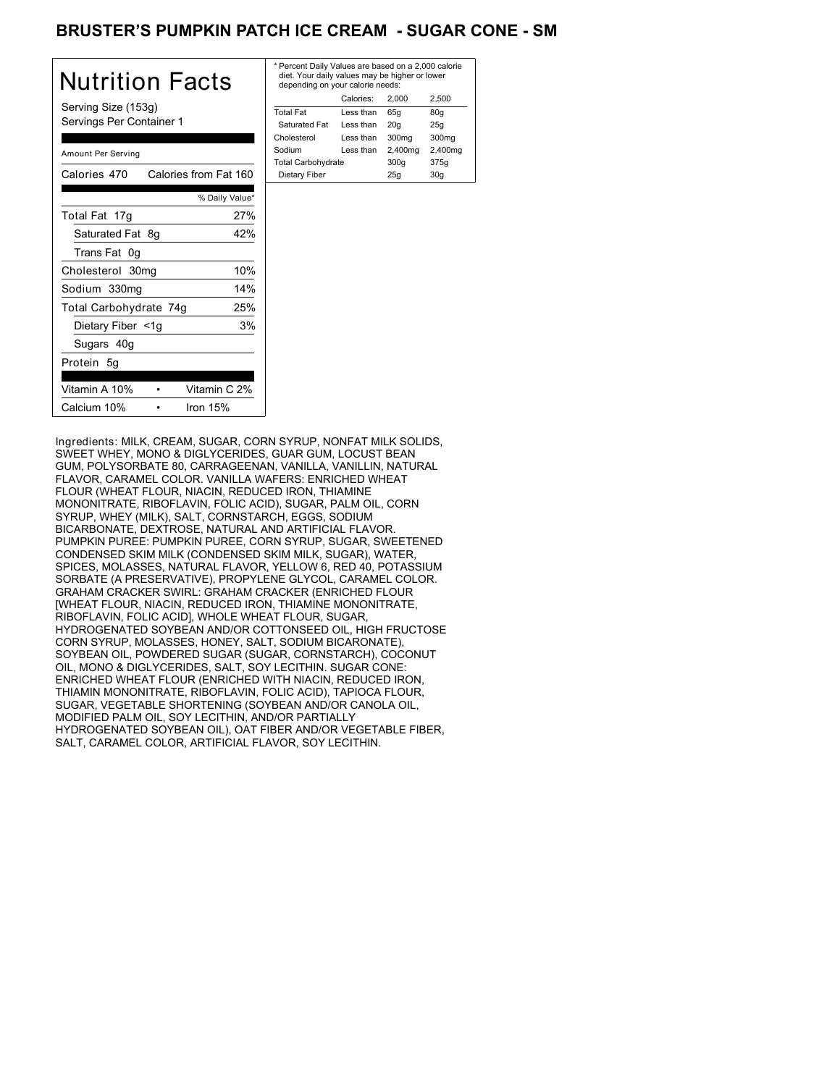### BRUSTER'S PUMPKIN PATCH ICE CREAM - SUGAR CONE - SM

| Nutrition Facts                                 | * Perce<br>diet.<br>deper |
|-------------------------------------------------|---------------------------|
| Serving Size (153g)<br>Servings Per Container 1 | <b>Total F</b>            |
|                                                 | Satur<br>Choles           |
|                                                 | Sodiun                    |
| Amount Per Serving                              | Total C                   |
| Calories 470<br>Calories from Fat 160           | Dietar                    |
| % Daily Value*                                  |                           |
| 27%<br>Total Fat 17g                            |                           |
| Saturated Fat 8g<br>42%                         |                           |
| Trans Fat 0g                                    |                           |
| 10%<br>Cholesterol 30mg                         |                           |
| 14%<br>Sodium 330mg                             |                           |
| Total Carbohydrate 74g<br>25%                   |                           |
| 3%<br>Dietary Fiber <1g                         |                           |
| Sugars 40g                                      |                           |
| Protein 5q                                      |                           |
| Vitamin C 2%<br>Vitamin A 10%                   |                           |
| Calcium 10%<br>Iron 15%                         |                           |

| * Percent Daily Values are based on a 2,000 calorie<br>diet. Your daily values may be higher or lower<br>depending on your calorie needs: |           |         |         |
|-------------------------------------------------------------------------------------------------------------------------------------------|-----------|---------|---------|
|                                                                                                                                           | Calories: | 2.000   | 2.500   |
| <b>Total Fat</b>                                                                                                                          | Less than | 65q     | 80q     |
| Saturated Fat                                                                                                                             | Less than | 20q     | 25q     |
| Cholesterol                                                                                                                               | Less than | 300mg   | 300mg   |
| Sodium                                                                                                                                    | Less than | 2,400mg | 2,400mg |
| <b>Total Carbohydrate</b>                                                                                                                 |           | 300q    | 375g    |
| Dietary Fiber                                                                                                                             |           | 25q     | 30q     |
|                                                                                                                                           |           |         |         |

Ingredients: MILK, CREAM, SUGAR, CORN SYRUP, NONFAT MILK SOLIDS, SWEET WHEY, MONO & DIGLYCERIDES, GUAR GUM, LOCUST BEAN GUM, POLYSORBATE 80, CARRAGEENAN, VANILLA, VANILLIN, NATURAL FLAVOR, CARAMEL COLOR. VANILLA WAFERS: ENRICHED WHEAT FLOUR (WHEAT FLOUR, NIACIN, REDUCED IRON, THIAMINE MONONITRATE, RIBOFLAVIN, FOLIC ACID), SUGAR, PALM OIL, CORN SYRUP, WHEY (MILK), SALT, CORNSTARCH, EGGS, SODIUM BICARBONATE, DEXTROSE, NATURAL AND ARTIFICIAL FLAVOR. PUMPKIN PUREE: PUMPKIN PUREE, CORN SYRUP, SUGAR, SWEETENED CONDENSED SKIM MILK (CONDENSED SKIM MILK, SUGAR), WATER, SPICES, MOLASSES, NATURAL FLAVOR, YELLOW 6, RED 40, POTASSIUM SORBATE (A PRESERVATIVE), PROPYLENE GLYCOL, CARAMEL COLOR. GRAHAM CRACKER SWIRL: GRAHAM CRACKER (ENRICHED FLOUR [WHEAT FLOUR, NIACIN, REDUCED IRON, THIAMINE MONONITRATE, RIBOFLAVIN, FOLIC ACID], WHOLE WHEAT FLOUR, SUGAR, HYDROGENATED SOYBEAN AND/OR COTTONSEED OIL, HIGH FRUCTOSE CORN SYRUP, MOLASSES, HONEY, SALT, SODIUM BICARONATE), SOYBEAN OIL, POWDERED SUGAR (SUGAR, CORNSTARCH), COCONUT OIL, MONO & DIGLYCERIDES, SALT, SOY LECITHIN. SUGAR CONE: ENRICHED WHEAT FLOUR (ENRICHED WITH NIACIN, REDUCED IRON, THIAMIN MONONITRATE, RIBOFLAVIN, FOLIC ACID), TAPIOCA FLOUR, SUGAR, VEGETABLE SHORTENING (SOYBEAN AND/OR CANOLA OIL, MODIFIED PALM OIL, SOY LECITHIN, AND/OR PARTIALLY HYDROGENATED SOYBEAN OIL), OAT FIBER AND/OR VEGETABLE FIBER, SALT, CARAMEL COLOR, ARTIFICIAL FLAVOR, SOY LECITHIN.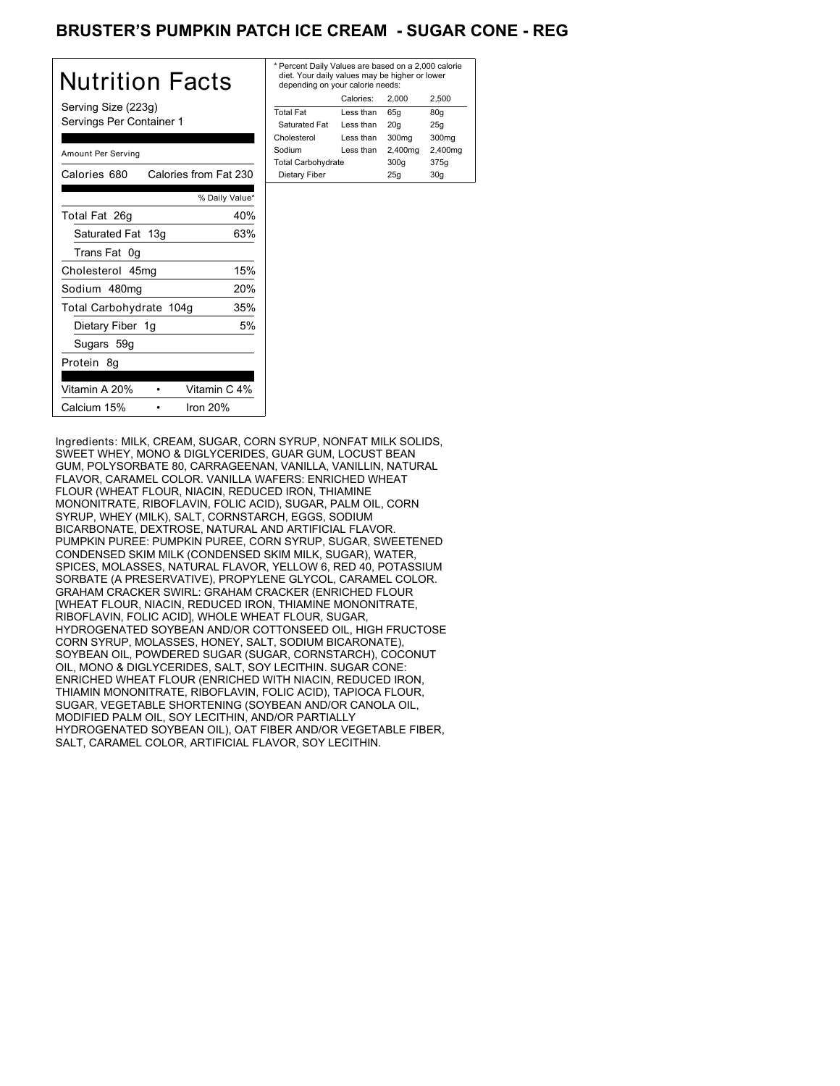# BRUSTER'S PUMPKIN PATCH ICE CREAM - SUGAR CONE - REG

| Nutrition Facts                                 | * Per<br>diet<br>dep  |
|-------------------------------------------------|-----------------------|
| Serving Size (223g)<br>Servings Per Container 1 | Total<br>Satı<br>Chok |
| Amount Per Serving                              | Sodi<br>Total         |
| Calories from Fat 230<br>Calories 680           | Diet                  |
| % Daily Value*                                  |                       |
| 40%<br>Total Fat 26q                            |                       |
| Saturated Fat 13g<br>63%                        |                       |
| Trans Fat 0g                                    |                       |
| 15%<br>Cholesterol 45mg                         |                       |
| 20%<br>Sodium 480mg                             |                       |
| 35%<br>Total Carbohydrate 104g                  |                       |
| Dietary Fiber 1g<br>5%                          |                       |
| Sugars 59g                                      |                       |
| Protein 8q                                      |                       |
| Vitamin A 20%<br>Vitamin C 4%                   |                       |
| Calcium 15%<br>Iron $20%$                       |                       |

| * Percent Daily Values are based on a 2,000 calorie<br>diet. Your daily values may be higher or lower<br>depending on your calorie needs: |            |         |         |
|-------------------------------------------------------------------------------------------------------------------------------------------|------------|---------|---------|
|                                                                                                                                           | Calories:  | 2.000   | 2.500   |
| <b>Total Fat</b>                                                                                                                          | Less than  | 65q     | 80q     |
| Saturated Fat                                                                                                                             | Less than  | 20q     | 25q     |
| Cholesterol                                                                                                                               | I ess than | 300mg   | 300mg   |
| Sodium                                                                                                                                    | Less than  | 2,400mg | 2,400mg |
| <b>Total Carbohydrate</b>                                                                                                                 |            | 300q    | 375g    |
| Dietary Fiber                                                                                                                             |            | 25q     | 30q     |
|                                                                                                                                           |            |         |         |

Ingredients: MILK, CREAM, SUGAR, CORN SYRUP, NONFAT MILK SOLIDS, SWEET WHEY, MONO & DIGLYCERIDES, GUAR GUM, LOCUST BEAN GUM, POLYSORBATE 80, CARRAGEENAN, VANILLA, VANILLIN, NATURAL FLAVOR, CARAMEL COLOR. VANILLA WAFERS: ENRICHED WHEAT FLOUR (WHEAT FLOUR, NIACIN, REDUCED IRON, THIAMINE MONONITRATE, RIBOFLAVIN, FOLIC ACID), SUGAR, PALM OIL, CORN SYRUP, WHEY (MILK), SALT, CORNSTARCH, EGGS, SODIUM BICARBONATE, DEXTROSE, NATURAL AND ARTIFICIAL FLAVOR. PUMPKIN PUREE: PUMPKIN PUREE, CORN SYRUP, SUGAR, SWEETENED CONDENSED SKIM MILK (CONDENSED SKIM MILK, SUGAR), WATER, SPICES, MOLASSES, NATURAL FLAVOR, YELLOW 6, RED 40, POTASSIUM SORBATE (A PRESERVATIVE), PROPYLENE GLYCOL, CARAMEL COLOR. GRAHAM CRACKER SWIRL: GRAHAM CRACKER (ENRICHED FLOUR [WHEAT FLOUR, NIACIN, REDUCED IRON, THIAMINE MONONITRATE, RIBOFLAVIN, FOLIC ACID], WHOLE WHEAT FLOUR, SUGAR, HYDROGENATED SOYBEAN AND/OR COTTONSEED OIL, HIGH FRUCTOSE CORN SYRUP, MOLASSES, HONEY, SALT, SODIUM BICARONATE), SOYBEAN OIL, POWDERED SUGAR (SUGAR, CORNSTARCH), COCONUT OIL, MONO & DIGLYCERIDES, SALT, SOY LECITHIN. SUGAR CONE: ENRICHED WHEAT FLOUR (ENRICHED WITH NIACIN, REDUCED IRON, THIAMIN MONONITRATE, RIBOFLAVIN, FOLIC ACID), TAPIOCA FLOUR, SUGAR, VEGETABLE SHORTENING (SOYBEAN AND/OR CANOLA OIL, MODIFIED PALM OIL, SOY LECITHIN, AND/OR PARTIALLY HYDROGENATED SOYBEAN OIL), OAT FIBER AND/OR VEGETABLE FIBER, SALT, CARAMEL COLOR, ARTIFICIAL FLAVOR, SOY LECITHIN.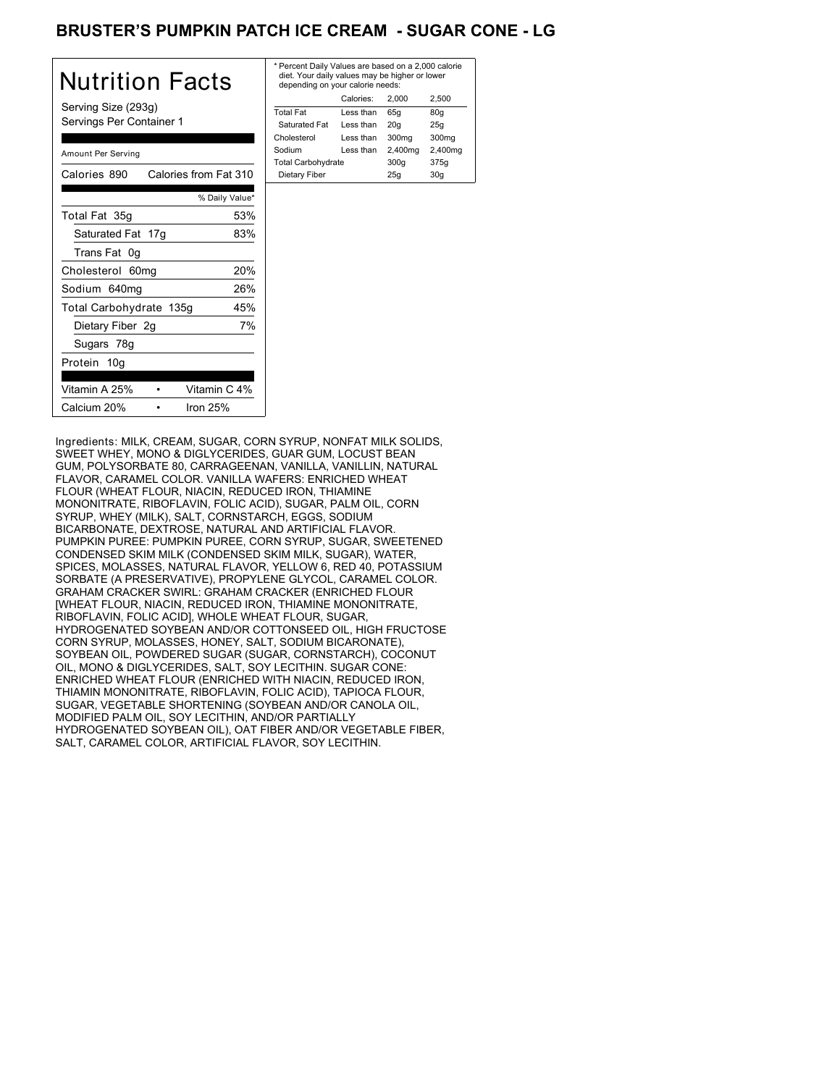# BRUSTER'S PUMPKIN PATCH ICE CREAM - SUGAR CONE - LG

| Nutrition Facts                                 | * Per<br>diet<br>dep   |
|-------------------------------------------------|------------------------|
| Serving Size (293g)<br>Servings Per Container 1 | Total<br>Satu<br>Chole |
| Amount Per Serving                              | Sodi<br>Total          |
| Calories from Fat 310<br>Calories 890           | Diet                   |
| % Daily Value*                                  |                        |
| 53%<br>Total Fat 35g                            |                        |
| Saturated Fat 17g<br>83%                        |                        |
| Trans Fat 0g                                    |                        |
| 20%<br>Cholesterol 60mg                         |                        |
| 26%<br>Sodium 640mg                             |                        |
| Total Carbohydrate 135g<br>45%                  |                        |
| 7%<br>Dietary Fiber 2g                          |                        |
| Sugars 78g                                      |                        |
| Protein 10g                                     |                        |
| Vitamin C 4%<br>Vitamin A 25%                   |                        |
| Calcium 20%<br>Iron $25%$                       |                        |

| * Percent Daily Values are based on a 2,000 calorie<br>diet. Your daily values may be higher or lower<br>depending on your calorie needs: |           |         |                   |
|-------------------------------------------------------------------------------------------------------------------------------------------|-----------|---------|-------------------|
|                                                                                                                                           | Calories: | 2.000   | 2.500             |
| <b>Total Fat</b>                                                                                                                          | Less than | 65q     | 80q               |
| Saturated Fat                                                                                                                             | Less than | 20q     | 25q               |
| Cholesterol                                                                                                                               | Less than | 300mg   | 300 <sub>mq</sub> |
| Sodium                                                                                                                                    | Less than | 2,400mg | 2,400mg           |
| <b>Total Carbohydrate</b>                                                                                                                 |           | 300q    | 375g              |
| Dietary Fiber                                                                                                                             |           | 25q     | 30q               |

Ingredients: MILK, CREAM, SUGAR, CORN SYRUP, NONFAT MILK SOLIDS, SWEET WHEY, MONO & DIGLYCERIDES, GUAR GUM, LOCUST BEAN GUM, POLYSORBATE 80, CARRAGEENAN, VANILLA, VANILLIN, NATURAL FLAVOR, CARAMEL COLOR. VANILLA WAFERS: ENRICHED WHEAT FLOUR (WHEAT FLOUR, NIACIN, REDUCED IRON, THIAMINE MONONITRATE, RIBOFLAVIN, FOLIC ACID), SUGAR, PALM OIL, CORN SYRUP, WHEY (MILK), SALT, CORNSTARCH, EGGS, SODIUM BICARBONATE, DEXTROSE, NATURAL AND ARTIFICIAL FLAVOR. PUMPKIN PUREE: PUMPKIN PUREE, CORN SYRUP, SUGAR, SWEETENED CONDENSED SKIM MILK (CONDENSED SKIM MILK, SUGAR), WATER, SPICES, MOLASSES, NATURAL FLAVOR, YELLOW 6, RED 40, POTASSIUM SORBATE (A PRESERVATIVE), PROPYLENE GLYCOL, CARAMEL COLOR. GRAHAM CRACKER SWIRL: GRAHAM CRACKER (ENRICHED FLOUR [WHEAT FLOUR, NIACIN, REDUCED IRON, THIAMINE MONONITRATE, RIBOFLAVIN, FOLIC ACID], WHOLE WHEAT FLOUR, SUGAR, HYDROGENATED SOYBEAN AND/OR COTTONSEED OIL, HIGH FRUCTOSE CORN SYRUP, MOLASSES, HONEY, SALT, SODIUM BICARONATE), SOYBEAN OIL, POWDERED SUGAR (SUGAR, CORNSTARCH), COCONUT OIL, MONO & DIGLYCERIDES, SALT, SOY LECITHIN. SUGAR CONE: ENRICHED WHEAT FLOUR (ENRICHED WITH NIACIN, REDUCED IRON, THIAMIN MONONITRATE, RIBOFLAVIN, FOLIC ACID), TAPIOCA FLOUR, SUGAR, VEGETABLE SHORTENING (SOYBEAN AND/OR CANOLA OIL, MODIFIED PALM OIL, SOY LECITHIN, AND/OR PARTIALLY HYDROGENATED SOYBEAN OIL), OAT FIBER AND/OR VEGETABLE FIBER, SALT, CARAMEL COLOR, ARTIFICIAL FLAVOR, SOY LECITHIN.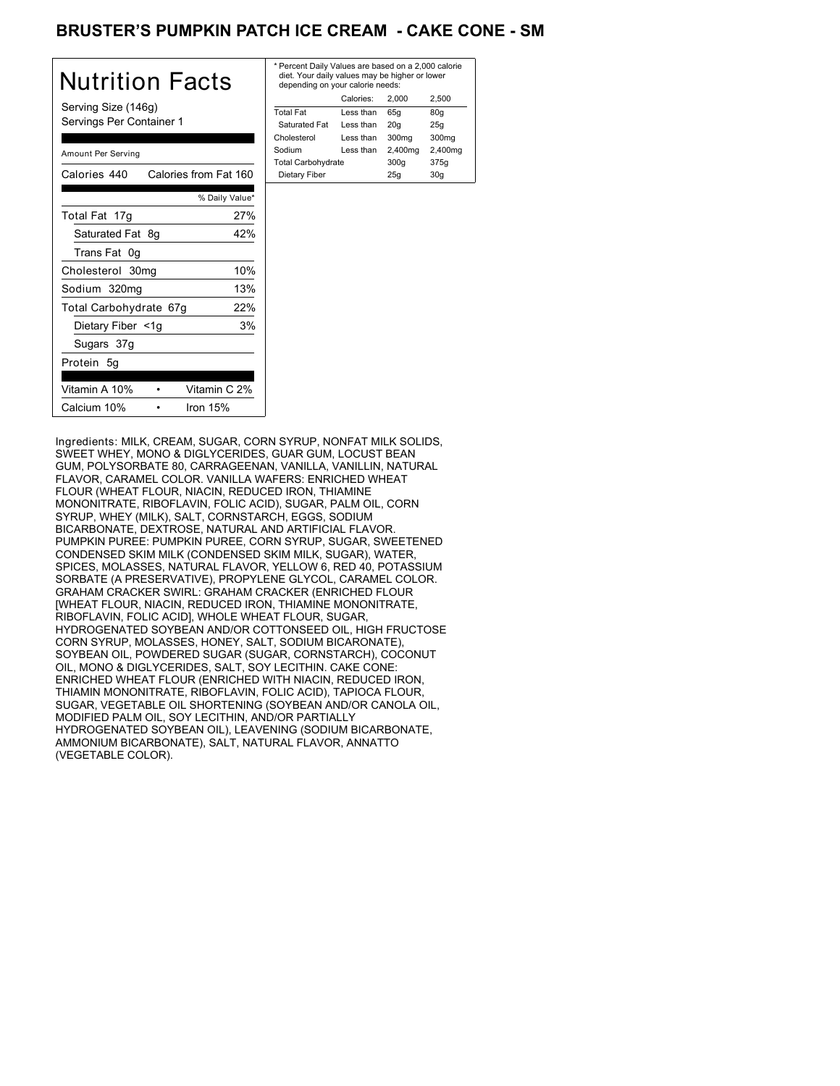# BRUSTER'S PUMPKIN PATCH ICE CREAM **- CAKE CONE - SM**

| Nutrition Facts                       | * Perce<br>diet. \<br>deper |
|---------------------------------------|-----------------------------|
| Serving Size (146g)                   | <b>Total F</b>              |
| Servings Per Container 1              | Satura                      |
|                                       | Choles                      |
| Amount Per Serving                    | Sodium                      |
|                                       | Total C                     |
| Calories from Fat 160<br>Calories 440 | Dietar                      |
| % Daily Value*                        |                             |
| 27%<br>Total Fat 17g                  |                             |
| Saturated Fat 8q<br>42%               |                             |
| Trans Fat 0g                          |                             |
| 10%<br>Cholesterol 30mg               |                             |
| 13%<br>Sodium 320mg                   |                             |
| 22%<br>Total Carbohydrate 67g         |                             |
| 3%<br>Dietary Fiber <1g               |                             |
| Sugars 37g                            |                             |
| Protein 5q                            |                             |
| Vitamin C 2%<br>Vitamin A 10%         |                             |
| Calcium 10%<br>Iron 15%               |                             |

| * Percent Daily Values are based on a 2,000 calorie<br>diet. Your daily values may be higher or lower<br>depending on your calorie needs: |           |         |         |
|-------------------------------------------------------------------------------------------------------------------------------------------|-----------|---------|---------|
|                                                                                                                                           | Calories: | 2.000   | 2.500   |
| <b>Total Fat</b>                                                                                                                          | Less than | 65q     | 80q     |
| Saturated Fat                                                                                                                             | Less than | 20q     | 25q     |
| Cholesterol                                                                                                                               | Less than | 300mg   | 300mg   |
| Sodium                                                                                                                                    | Less than | 2,400mg | 2,400mg |
| <b>Total Carbohydrate</b>                                                                                                                 |           | 300q    | 375g    |
| Dietary Fiber                                                                                                                             |           | 25q     | 30q     |
|                                                                                                                                           |           |         |         |

Ingredients: MILK, CREAM, SUGAR, CORN SYRUP, NONFAT MILK SOLIDS, SWEET WHEY, MONO & DIGLYCERIDES, GUAR GUM, LOCUST BEAN GUM, POLYSORBATE 80, CARRAGEENAN, VANILLA, VANILLIN, NATURAL FLAVOR, CARAMEL COLOR. VANILLA WAFERS: ENRICHED WHEAT FLOUR (WHEAT FLOUR, NIACIN, REDUCED IRON, THIAMINE MONONITRATE, RIBOFLAVIN, FOLIC ACID), SUGAR, PALM OIL, CORN SYRUP, WHEY (MILK), SALT, CORNSTARCH, EGGS, SODIUM BICARBONATE, DEXTROSE, NATURAL AND ARTIFICIAL FLAVOR. PUMPKIN PUREE: PUMPKIN PUREE, CORN SYRUP, SUGAR, SWEETENED CONDENSED SKIM MILK (CONDENSED SKIM MILK, SUGAR), WATER, SPICES, MOLASSES, NATURAL FLAVOR, YELLOW 6, RED 40, POTASSIUM SORBATE (A PRESERVATIVE), PROPYLENE GLYCOL, CARAMEL COLOR. GRAHAM CRACKER SWIRL: GRAHAM CRACKER (ENRICHED FLOUR [WHEAT FLOUR, NIACIN, REDUCED IRON, THIAMINE MONONITRATE, RIBOFLAVIN, FOLIC ACID], WHOLE WHEAT FLOUR, SUGAR, HYDROGENATED SOYBEAN AND/OR COTTONSEED OIL, HIGH FRUCTOSE CORN SYRUP, MOLASSES, HONEY, SALT, SODIUM BICARONATE), SOYBEAN OIL, POWDERED SUGAR (SUGAR, CORNSTARCH), COCONUT OIL, MONO & DIGLYCERIDES, SALT, SOY LECITHIN. CAKE CONE: ENRICHED WHEAT FLOUR (ENRICHED WITH NIACIN, REDUCED IRON, THIAMIN MONONITRATE, RIBOFLAVIN, FOLIC ACID), TAPIOCA FLOUR, SUGAR, VEGETABLE OIL SHORTENING (SOYBEAN AND/OR CANOLA OIL, MODIFIED PALM OIL, SOY LECITHIN, AND/OR PARTIALLY HYDROGENATED SOYBEAN OIL), LEAVENING (SODIUM BICARBONATE, AMMONIUM BICARBONATE), SALT, NATURAL FLAVOR, ANNATTO (VEGETABLE COLOR).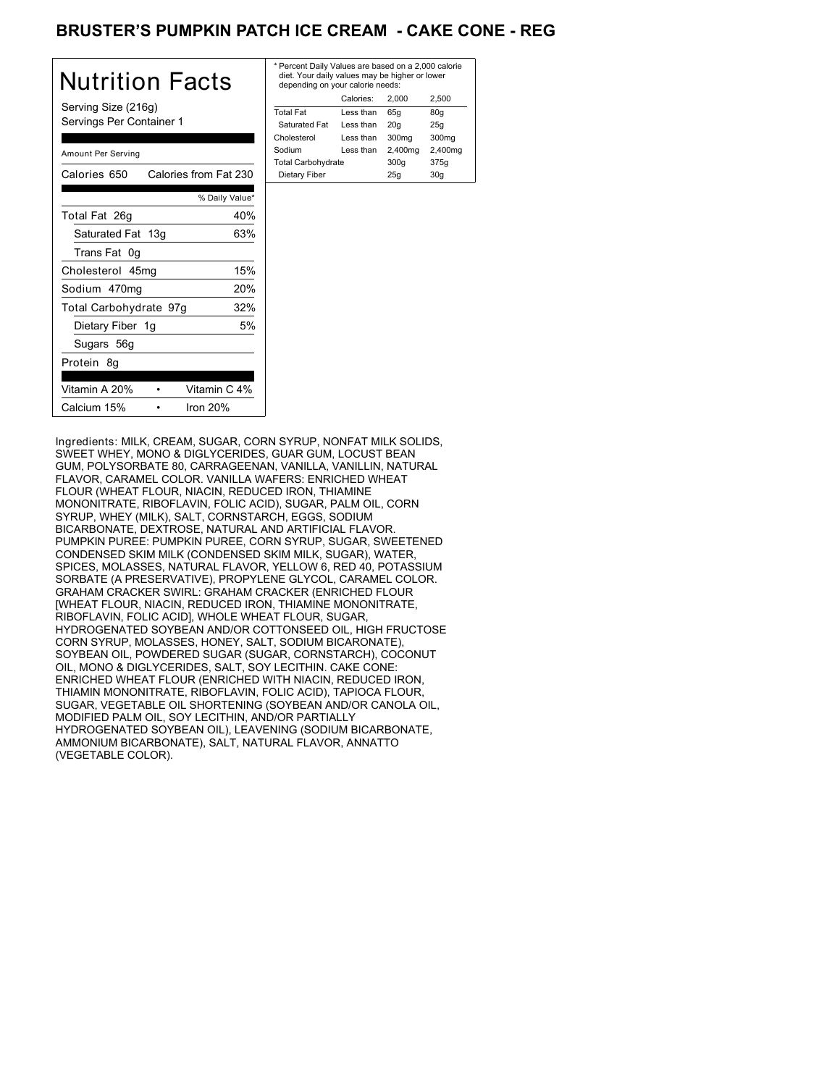# BRUSTER'S PUMPKIN PATCH ICE CREAM **- CAKE CONE - REG**

| Nutrition Facts                                 | * Pero<br>diet.<br>dep |
|-------------------------------------------------|------------------------|
| Serving Size (216g)<br>Servings Per Container 1 | Total<br>Satu<br>Chole |
| Amount Per Serving                              | Sodiu<br>Total         |
| Calories 650<br>Calories from Fat 230           | Diet                   |
| % Daily Value*                                  |                        |
| Total Fat 26g<br>40%                            |                        |
| Saturated Fat 13g<br>63%                        |                        |
| Trans Fat 0g                                    |                        |
| 15%<br>Cholesterol 45mg                         |                        |
| 20%<br>Sodium 470mg                             |                        |
| 32%<br>Total Carbohydrate 97g                   |                        |
| 5%<br>Dietary Fiber 1g                          |                        |
| Sugars 56g                                      |                        |
| Protein 8q                                      |                        |
| Vitamin A 20%<br>Vitamin C 4%                   |                        |
| Iron $20%$<br>Calcium 15%                       |                        |

| * Percent Daily Values are based on a 2,000 calorie<br>diet. Your daily values may be higher or lower<br>depending on your calorie needs: |           |         |         |
|-------------------------------------------------------------------------------------------------------------------------------------------|-----------|---------|---------|
|                                                                                                                                           | Calories: | 2.000   | 2.500   |
| <b>Total Fat</b>                                                                                                                          | Less than | 65q     | 80q     |
| Saturated Fat                                                                                                                             | Less than | 20q     | 25q     |
| Cholesterol                                                                                                                               | Less than | 300mg   | 300mg   |
| Sodium                                                                                                                                    | Less than | 2,400mg | 2,400mg |
| <b>Total Carbohydrate</b>                                                                                                                 |           | 300q    | 375g    |
| Dietary Fiber                                                                                                                             |           | 25q     | 30q     |
|                                                                                                                                           |           |         |         |

Ingredients: MILK, CREAM, SUGAR, CORN SYRUP, NONFAT MILK SOLIDS, SWEET WHEY, MONO & DIGLYCERIDES, GUAR GUM, LOCUST BEAN GUM, POLYSORBATE 80, CARRAGEENAN, VANILLA, VANILLIN, NATURAL FLAVOR, CARAMEL COLOR. VANILLA WAFERS: ENRICHED WHEAT FLOUR (WHEAT FLOUR, NIACIN, REDUCED IRON, THIAMINE MONONITRATE, RIBOFLAVIN, FOLIC ACID), SUGAR, PALM OIL, CORN SYRUP, WHEY (MILK), SALT, CORNSTARCH, EGGS, SODIUM BICARBONATE, DEXTROSE, NATURAL AND ARTIFICIAL FLAVOR. PUMPKIN PUREE: PUMPKIN PUREE, CORN SYRUP, SUGAR, SWEETENED CONDENSED SKIM MILK (CONDENSED SKIM MILK, SUGAR), WATER, SPICES, MOLASSES, NATURAL FLAVOR, YELLOW 6, RED 40, POTASSIUM SORBATE (A PRESERVATIVE), PROPYLENE GLYCOL, CARAMEL COLOR. GRAHAM CRACKER SWIRL: GRAHAM CRACKER (ENRICHED FLOUR [WHEAT FLOUR, NIACIN, REDUCED IRON, THIAMINE MONONITRATE, RIBOFLAVIN, FOLIC ACID], WHOLE WHEAT FLOUR, SUGAR, HYDROGENATED SOYBEAN AND/OR COTTONSEED OIL, HIGH FRUCTOSE CORN SYRUP, MOLASSES, HONEY, SALT, SODIUM BICARONATE), SOYBEAN OIL, POWDERED SUGAR (SUGAR, CORNSTARCH), COCONUT OIL, MONO & DIGLYCERIDES, SALT, SOY LECITHIN. CAKE CONE: ENRICHED WHEAT FLOUR (ENRICHED WITH NIACIN, REDUCED IRON, THIAMIN MONONITRATE, RIBOFLAVIN, FOLIC ACID), TAPIOCA FLOUR, SUGAR, VEGETABLE OIL SHORTENING (SOYBEAN AND/OR CANOLA OIL, MODIFIED PALM OIL, SOY LECITHIN, AND/OR PARTIALLY HYDROGENATED SOYBEAN OIL), LEAVENING (SODIUM BICARBONATE, AMMONIUM BICARBONATE), SALT, NATURAL FLAVOR, ANNATTO (VEGETABLE COLOR).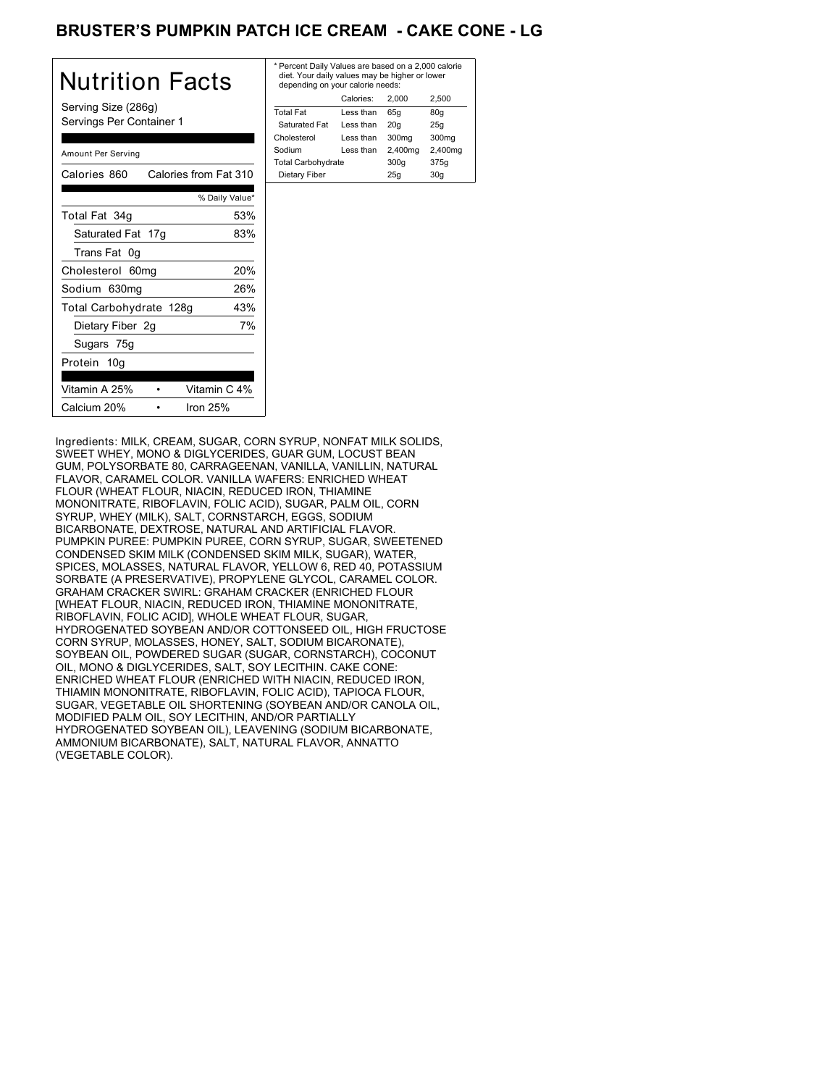# BRUSTER'S PUMPKIN PATCH ICE CREAM **- CAKE CONE - LG**

| Nutrition Facts                                 | * Per<br>diet.<br>dep   |
|-------------------------------------------------|-------------------------|
| Serving Size (286g)<br>Servings Per Container 1 | Total<br>Satu           |
| Amount Per Serving                              | Chole<br>Sodiu<br>Total |
| Calories from Fat 310<br>Calories 860           | Diet                    |
| % Daily Value*                                  |                         |
| 53%<br>Total Fat 34g                            |                         |
| Saturated Fat 17g<br>83%                        |                         |
| Trans Fat 0g                                    |                         |
| 20%<br>Cholesterol 60mg                         |                         |
| 26%<br>Sodium 630mg                             |                         |
| 43%<br>Total Carbohydrate 128g                  |                         |
| 7%<br>Dietary Fiber 2g                          |                         |
| Sugars 75g                                      |                         |
| Protein 10g                                     |                         |
| Vitamin C 4%<br>Vitamin A 25%                   |                         |
| Calcium 20%<br>Iron $25%$                       |                         |

| * Percent Daily Values are based on a 2,000 calorie<br>diet. Your daily values may be higher or lower<br>depending on your calorie needs: |         |         |  |
|-------------------------------------------------------------------------------------------------------------------------------------------|---------|---------|--|
| Calories:                                                                                                                                 | 2.000   | 2.500   |  |
| Less than                                                                                                                                 | 65q     | 80q     |  |
| Less than                                                                                                                                 | 20q     | 25q     |  |
| I ess than                                                                                                                                | 300mg   | 300mg   |  |
| Less than                                                                                                                                 | 2,400mg | 2,400mg |  |
| <b>Total Carbohydrate</b>                                                                                                                 | 300q    | 375g    |  |
|                                                                                                                                           | 25q     | 30q     |  |
|                                                                                                                                           |         |         |  |

Ingredients: MILK, CREAM, SUGAR, CORN SYRUP, NONFAT MILK SOLIDS, SWEET WHEY, MONO & DIGLYCERIDES, GUAR GUM, LOCUST BEAN GUM, POLYSORBATE 80, CARRAGEENAN, VANILLA, VANILLIN, NATURAL FLAVOR, CARAMEL COLOR. VANILLA WAFERS: ENRICHED WHEAT FLOUR (WHEAT FLOUR, NIACIN, REDUCED IRON, THIAMINE MONONITRATE, RIBOFLAVIN, FOLIC ACID), SUGAR, PALM OIL, CORN SYRUP, WHEY (MILK), SALT, CORNSTARCH, EGGS, SODIUM BICARBONATE, DEXTROSE, NATURAL AND ARTIFICIAL FLAVOR. PUMPKIN PUREE: PUMPKIN PUREE, CORN SYRUP, SUGAR, SWEETENED CONDENSED SKIM MILK (CONDENSED SKIM MILK, SUGAR), WATER, SPICES, MOLASSES, NATURAL FLAVOR, YELLOW 6, RED 40, POTASSIUM SORBATE (A PRESERVATIVE), PROPYLENE GLYCOL, CARAMEL COLOR. GRAHAM CRACKER SWIRL: GRAHAM CRACKER (ENRICHED FLOUR [WHEAT FLOUR, NIACIN, REDUCED IRON, THIAMINE MONONITRATE, RIBOFLAVIN, FOLIC ACID], WHOLE WHEAT FLOUR, SUGAR, HYDROGENATED SOYBEAN AND/OR COTTONSEED OIL, HIGH FRUCTOSE CORN SYRUP, MOLASSES, HONEY, SALT, SODIUM BICARONATE), SOYBEAN OIL, POWDERED SUGAR (SUGAR, CORNSTARCH), COCONUT OIL, MONO & DIGLYCERIDES, SALT, SOY LECITHIN. CAKE CONE: ENRICHED WHEAT FLOUR (ENRICHED WITH NIACIN, REDUCED IRON, THIAMIN MONONITRATE, RIBOFLAVIN, FOLIC ACID), TAPIOCA FLOUR, SUGAR, VEGETABLE OIL SHORTENING (SOYBEAN AND/OR CANOLA OIL, MODIFIED PALM OIL, SOY LECITHIN, AND/OR PARTIALLY HYDROGENATED SOYBEAN OIL), LEAVENING (SODIUM BICARBONATE, AMMONIUM BICARBONATE), SALT, NATURAL FLAVOR, ANNATTO (VEGETABLE COLOR).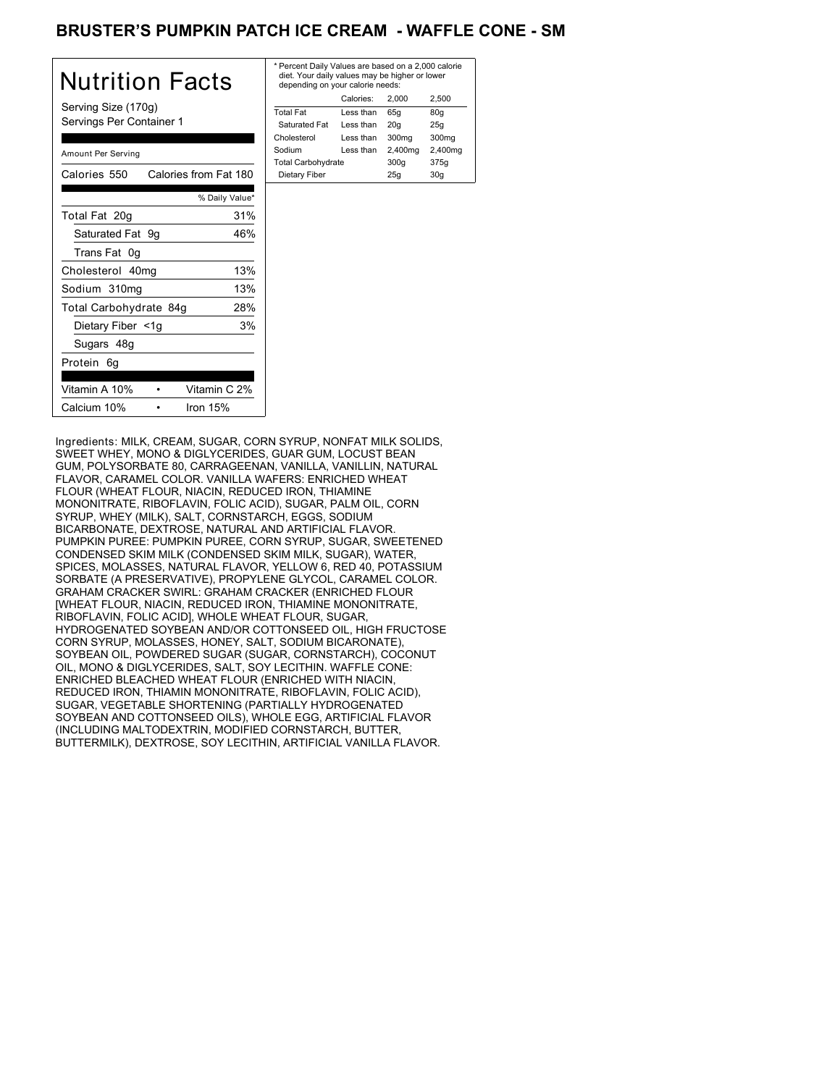## BRUSTER'S PUMPKIN PATCH ICE CREAM - WAFFLE CONE - SM

| <b>Nutrition Facts</b>                | * Perce<br>diet. Y<br>deper |
|---------------------------------------|-----------------------------|
| Serving Size (170g)                   | Total F                     |
| Servings Per Container 1              | Satura                      |
|                                       | Choles                      |
| Amount Per Serving                    | Sodium                      |
|                                       | Total C                     |
| Calories 550<br>Calories from Fat 180 | Dietar                      |
| % Daily Value*                        |                             |
| 31%<br>Total Fat 20g                  |                             |
| Saturated Fat 9g<br>46%               |                             |
| Trans Fat 0g                          |                             |
| 13%<br>Cholesterol 40mg               |                             |
| 13%<br>Sodium 310mg                   |                             |
| Total Carbohydrate 84g<br>28%         |                             |
| 3%<br>Dietary Fiber <1g               |                             |
| Sugars 48g                            |                             |
| Protein 6q                            |                             |
| Vitamin C 2%<br>Vitamin A 10%         |                             |
| Calcium 10%<br>Iron 15%               |                             |

| * Percent Daily Values are based on a 2,000 calorie<br>diet. Your daily values may be higher or lower<br>depending on your calorie needs: |           |         |                   |
|-------------------------------------------------------------------------------------------------------------------------------------------|-----------|---------|-------------------|
|                                                                                                                                           | Calories: | 2.000   | 2.500             |
| <b>Total Fat</b>                                                                                                                          | Less than | 65q     | 80q               |
| Saturated Fat                                                                                                                             | Less than | 20q     | 25q               |
| Cholesterol                                                                                                                               | Less than | 300mg   | 300 <sub>mq</sub> |
| Sodium                                                                                                                                    | Less than | 2,400mg | 2,400mg           |
| <b>Total Carbohydrate</b>                                                                                                                 |           | 300q    | 375g              |
| Dietary Fiber                                                                                                                             |           | 25q     | 30q               |
|                                                                                                                                           |           |         |                   |

Ingredients: MILK, CREAM, SUGAR, CORN SYRUP, NONFAT MILK SOLIDS, SWEET WHEY, MONO & DIGLYCERIDES, GUAR GUM, LOCUST BEAN GUM, POLYSORBATE 80, CARRAGEENAN, VANILLA, VANILLIN, NATURAL FLAVOR, CARAMEL COLOR. VANILLA WAFERS: ENRICHED WHEAT FLOUR (WHEAT FLOUR, NIACIN, REDUCED IRON, THIAMINE MONONITRATE, RIBOFLAVIN, FOLIC ACID), SUGAR, PALM OIL, CORN SYRUP, WHEY (MILK), SALT, CORNSTARCH, EGGS, SODIUM BICARBONATE, DEXTROSE, NATURAL AND ARTIFICIAL FLAVOR. PUMPKIN PUREE: PUMPKIN PUREE, CORN SYRUP, SUGAR, SWEETENED CONDENSED SKIM MILK (CONDENSED SKIM MILK, SUGAR), WATER, SPICES, MOLASSES, NATURAL FLAVOR, YELLOW 6, RED 40, POTASSIUM SORBATE (A PRESERVATIVE), PROPYLENE GLYCOL, CARAMEL COLOR. GRAHAM CRACKER SWIRL: GRAHAM CRACKER (ENRICHED FLOUR [WHEAT FLOUR, NIACIN, REDUCED IRON, THIAMINE MONONITRATE, RIBOFLAVIN, FOLIC ACID], WHOLE WHEAT FLOUR, SUGAR, HYDROGENATED SOYBEAN AND/OR COTTONSEED OIL, HIGH FRUCTOSE CORN SYRUP, MOLASSES, HONEY, SALT, SODIUM BICARONATE), SOYBEAN OIL, POWDERED SUGAR (SUGAR, CORNSTARCH), COCONUT OIL, MONO & DIGLYCERIDES, SALT, SOY LECITHIN. WAFFLE CONE: ENRICHED BLEACHED WHEAT FLOUR (ENRICHED WITH NIACIN, REDUCED IRON, THIAMIN MONONITRATE, RIBOFLAVIN, FOLIC ACID), SUGAR, VEGETABLE SHORTENING (PARTIALLY HYDROGENATED SOYBEAN AND COTTONSEED OILS), WHOLE EGG, ARTIFICIAL FLAVOR (INCLUDING MALTODEXTRIN, MODIFIED CORNSTARCH, BUTTER, BUTTERMILK), DEXTROSE, SOY LECITHIN, ARTIFICIAL VANILLA FLAVOR.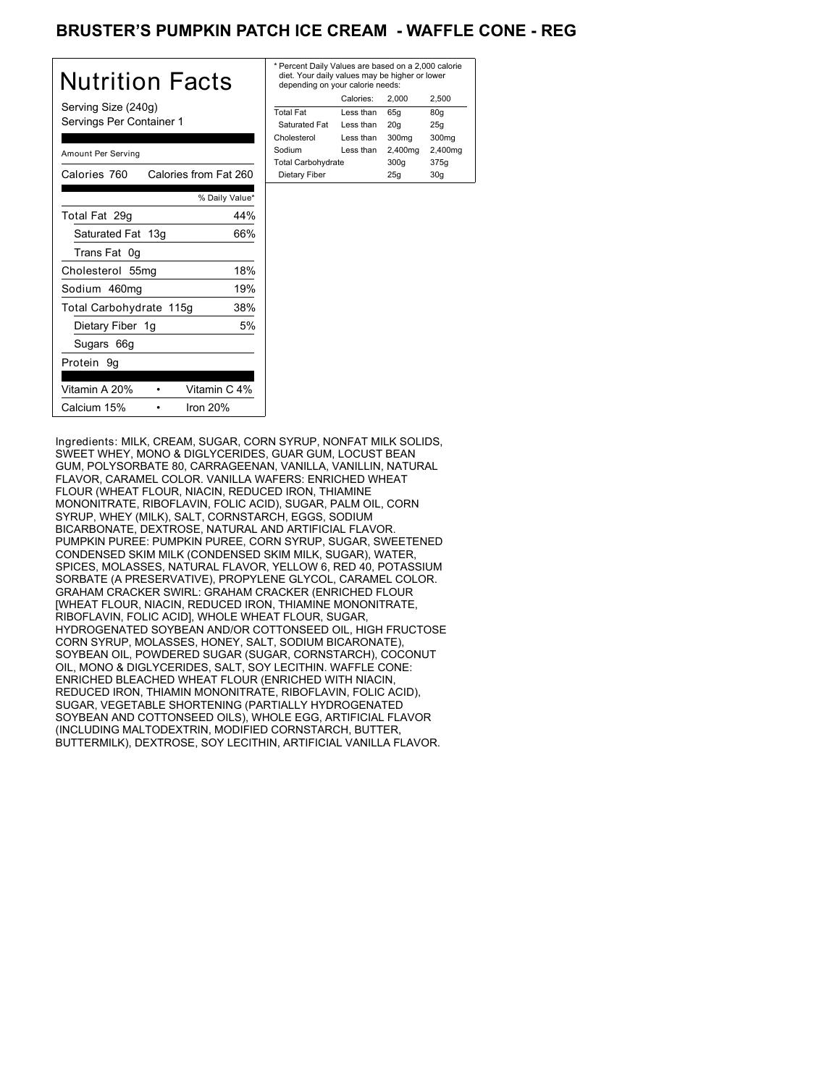## BRUSTER'S PUMPKIN PATCH ICE CREAM - WAFFLE CONE - REG

| Nutrition Facts                                 | * Pero<br>diet.<br>dep  |
|-------------------------------------------------|-------------------------|
| Serving Size (240g)<br>Servings Per Container 1 | Total<br>Satu           |
| Amount Per Serving                              | Chole<br>Sodiu<br>Total |
| Calories from Fat 260<br>Calories 760           | Diet                    |
| % Daily Value*                                  |                         |
| 44%<br>Total Fat 29g                            |                         |
| Saturated Fat 13g<br>66%                        |                         |
| Trans Fat 0g                                    |                         |
| 18%<br>Cholesterol 55mg                         |                         |
| Sodium 460mg<br>19%                             |                         |
| 38%<br>Total Carbohydrate 115g                  |                         |
| 5%<br>Dietary Fiber 1g                          |                         |
| Sugars 66g                                      |                         |
| Protein 9g                                      |                         |
| Vitamin C 4%<br>Vitamin A 20%                   |                         |
| Calcium 15%<br>Iron $20%$                       |                         |

| Calories:<br>2.500<br>2.000<br><b>Total Fat</b><br>Less than<br>65q<br>80q<br>Saturated Fat<br>Less than<br>20q<br>25q<br>Cholesterol<br>300mg<br>300 <sub>mq</sub><br>Less than<br>2,400mg<br>2,400mg<br>Sodium<br>Less than | * Percent Daily Values are based on a 2,000 calorie<br>diet. Your daily values may be higher or lower<br>depending on your calorie needs: |  |      |      |
|-------------------------------------------------------------------------------------------------------------------------------------------------------------------------------------------------------------------------------|-------------------------------------------------------------------------------------------------------------------------------------------|--|------|------|
|                                                                                                                                                                                                                               |                                                                                                                                           |  |      |      |
|                                                                                                                                                                                                                               |                                                                                                                                           |  |      |      |
|                                                                                                                                                                                                                               |                                                                                                                                           |  |      |      |
|                                                                                                                                                                                                                               |                                                                                                                                           |  |      |      |
|                                                                                                                                                                                                                               |                                                                                                                                           |  |      |      |
|                                                                                                                                                                                                                               | <b>Total Carbohydrate</b>                                                                                                                 |  | 300q | 375g |
| Dietary Fiber<br>25q<br>30q                                                                                                                                                                                                   |                                                                                                                                           |  |      |      |

Ingredients: MILK, CREAM, SUGAR, CORN SYRUP, NONFAT MILK SOLIDS, SWEET WHEY, MONO & DIGLYCERIDES, GUAR GUM, LOCUST BEAN GUM, POLYSORBATE 80, CARRAGEENAN, VANILLA, VANILLIN, NATURAL FLAVOR, CARAMEL COLOR. VANILLA WAFERS: ENRICHED WHEAT FLOUR (WHEAT FLOUR, NIACIN, REDUCED IRON, THIAMINE MONONITRATE, RIBOFLAVIN, FOLIC ACID), SUGAR, PALM OIL, CORN SYRUP, WHEY (MILK), SALT, CORNSTARCH, EGGS, SODIUM BICARBONATE, DEXTROSE, NATURAL AND ARTIFICIAL FLAVOR. PUMPKIN PUREE: PUMPKIN PUREE, CORN SYRUP, SUGAR, SWEETENED CONDENSED SKIM MILK (CONDENSED SKIM MILK, SUGAR), WATER, SPICES, MOLASSES, NATURAL FLAVOR, YELLOW 6, RED 40, POTASSIUM SORBATE (A PRESERVATIVE), PROPYLENE GLYCOL, CARAMEL COLOR. GRAHAM CRACKER SWIRL: GRAHAM CRACKER (ENRICHED FLOUR [WHEAT FLOUR, NIACIN, REDUCED IRON, THIAMINE MONONITRATE, RIBOFLAVIN, FOLIC ACID], WHOLE WHEAT FLOUR, SUGAR, HYDROGENATED SOYBEAN AND/OR COTTONSEED OIL, HIGH FRUCTOSE CORN SYRUP, MOLASSES, HONEY, SALT, SODIUM BICARONATE), SOYBEAN OIL, POWDERED SUGAR (SUGAR, CORNSTARCH), COCONUT OIL, MONO & DIGLYCERIDES, SALT, SOY LECITHIN. WAFFLE CONE: ENRICHED BLEACHED WHEAT FLOUR (ENRICHED WITH NIACIN, REDUCED IRON, THIAMIN MONONITRATE, RIBOFLAVIN, FOLIC ACID), SUGAR, VEGETABLE SHORTENING (PARTIALLY HYDROGENATED SOYBEAN AND COTTONSEED OILS), WHOLE EGG, ARTIFICIAL FLAVOR (INCLUDING MALTODEXTRIN, MODIFIED CORNSTARCH, BUTTER, BUTTERMILK), DEXTROSE, SOY LECITHIN, ARTIFICIAL VANILLA FLAVOR.